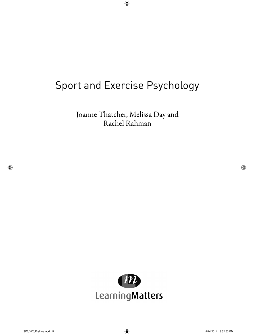$\bigoplus$ 

Joanne Thatcher, Melissa Day and Rachel Rahman



⊕

 $\bigoplus$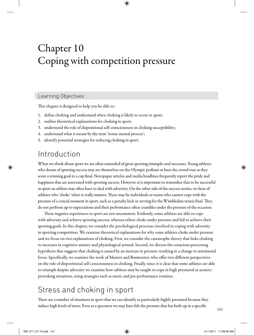# Chapter 10 Coping with competition pressure

⊕

### Learning Objectives

This chapter is designed to help you be able to:

- 1. define choking and understand when choking is likely to occur in sport;
- 2. outline theoretical explanations for choking in sport;
- 3. understand the role of dispositional self-consciousness in choking susceptibility;
- 4. understand what is meant by the term 'ironic mental process';
- 5. identify potential strategies for reducing choking in sport.

## Introduction

◈

When we think about sport we are often reminded of great sporting triumphs and successes. Young athletes who dream of sporting success may see themselves on the Olympic podium or hear the crowd roar as they score a winning goal in a cup final. Newspaper articles and media headlines frequently report the pride and happiness that are associated with sporting success. However, it is important to remember that to be successful in sport an athlete may often have to deal with adversity. On the other side of the success stories, we hear of athletes who 'choke' when it really matters. These may be individuals or teams who cannot cope with the pressure of a crucial moment in sport, such as a penalty kick or serving for the Wimbledon tennis final. They do not perform up to expectations and their performance often crumbles under the pressure of the occasion.

These negative experiences in sport are not uncommon. Evidently, some athletes are able to cope with adversity and achieve sporting success, whereas others choke under pressure and fail to achieve their sporting goals. In this chapter, we consider the psychological processes involved in coping with adversity in sporting competition. We examine theoretical explanations for why some athletes choke under pressure and we focus on two explanations of choking. First, we consider the catastrophe theory that links choking to increases in cognitive anxiety and physiological arousal. Second, we discuss the conscious processing hypothesis that suggests that choking is caused by an increase in pressure resulting in a change in attentional focus. Specifically, we examine the work of Masters and Baumeister, who offer two different perspectives on the role of dispositional self-consciousness in choking. Finally, since it is clear that some athletes are able to triumph despite adversity we examine how athletes may be taught to cope in high pressured or anxietyprovoking situations, using strategies such as music and pre-performance routines.

## Stress and choking in sport

There are a number of situations in sport that we can identify as particularly highly pressured because they induce high levels of stress. Even as a spectator we may have felt the pressure that has built up in a specific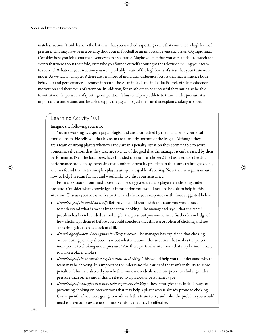match situation. Think back to the last time that you watched a sporting event that contained a high level of pressure. This may have been a penalty shoot out in football or an important event such as an Olympic final. Consider how you felt about that event even as a spectator. Maybe you felt that you were unable to watch the events that were about to unfold, or maybe you found yourself shouting at the television willing your team to succeed. Whatever your reaction you were probably aware of the high levels of stress that your team were under. As we saw in Chapter 8 there are a number of individual difference factors that may influence both behaviour and performance outcomes in sport. These can include the individual's levels of self-confidence, motivation and their focus of attention. In addition, for an athlete to be successful they must also be able to withstand the pressures of sporting competition. Thus to help any athlete to thrive under pressure it is important to understand and be able to apply the psychological theories that explain choking in sport.

⊕

### Learning Activity 10.1

Imagine the following scenario:

You are working as a sport psychologist and are approached by the manager of your local football team. He tells you that his team are currently bottom of the league. Although they are a team of strong players whenever they are in a penalty situation they seem unable to score. Sometimes the shots that they take are so wide of the goal that the manager is embarrassed by their performance. Even the local press have branded the team as 'chokers'. He has tried to solve this performance problem by increasing the number of penalty practices in the team's training sessions, and has found that in training his players are quite capable of scoring. Now the manager is unsure how to help his team further and would like to enlist your assistance.

From the situation outlined above it can be suggested that the players are choking under pressure. Consider what knowledge or information you would need to be able to help in this situation. Discuss your ideas with a partner and check your responses with those suggested below.

- *Knowledge of the problem itself*: Before you could work with this team you would need to understand what is meant by the term 'choking'. The manager tells you that the team's problem has been branded as choking by the press but you would need further knowledge of how choking is defined before you could conclude that this is a problem of choking and not something else such as a lack of skill.
- *Knowledge of when choking may be likely to occur*: The manager has explained that choking occurs during penalty shootouts – but what is it about this situation that makes the players more prone to choking under pressure? Are there particular situations that may be more likely to make a player choke?
- *Knowledge of the theoretical explanations of choking*: This would help you to understand why the team may be choking. It is important to understand the causes of the team's inability to score penalties. Th is may also tell you whether some individuals are more prone to choking under pressure than others and if this is related to a particular personality type.
- *Knowledge of strategies that may help to prevent choking*: These strategies may include ways of preventing choking or interventions that may help a player who is already prone to choking. Consequently if you were going to work with this team to try and solve the problem you would need to have some awareness of interventions that may be effective.

142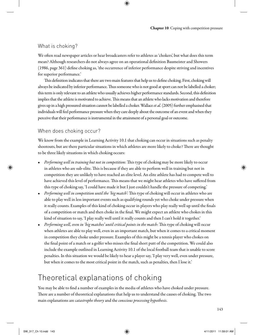#### **Chapter 10** Coping with competition pressure

## What is choking?

We often read newspaper articles or hear broadcasters refer to athletes as 'chokers', but what does this term mean? Although researchers do not always agree on an operational definition Baumeister and Showers  $(1986,$  page  $361)$  define choking as, 'the occurrence of inferior performance despite striving and incentives for superior performance.'

⊕

This definition indicates that there are two main features that help us to define choking. First, choking will always be indicated by inferior performance. Thus someone who is not good at sport can not be labelled a choker; this term is only relevant to an athlete who usually achieves higher performance standards. Second, this definition implies that the athlete is motivated to achieve. This means that an athlete who lacks motivation and therefore gives up in a high pressured situation cannot be labelled a choker. Wallace *et al.* (2005) further emphasised that individuals will feel performance pressure when they care deeply about the outcome of an event and when they perceive that their performance is instrumental in the attainment of a personal goal or outcome.

### When does choking occur?

We know from the example in Learning Activity 10.1 that choking can occur in situations such as penalty shootouts, but are there particular situations in which athletes are more likely to choke? There are thought to be three likely situations in which choking occurs:

- *Performing well in training but not in competition*: This type of choking may be more likely to occur in athletes who are sub-elite. This is because if they are able to perform well in training but not in competition they are unlikely to have reached an elite level. An elite athlete has had to compete well to have achieved this level of performance. This means that we might hear athletes who have suffered from this type of choking say, 'I could have made it but I just couldn't handle the pressure of competing.'
- *Performing well in competition until the 'big match'*: This type of choking will occur in athletes who are able to play well in less important events such as qualifying rounds yet who choke under pressure when it really counts. Examples of this kind of choking occur in players who play really well up until the finals of a competition or match and then choke in the final. We might expect an athlete who chokes in this kind of situation to say, 'I play really well until it really counts and then I can't hold it together.'
- *Performing well, even in 'big matches' until critical points in the match*: This type of choking will occur when athletes are able to play well, even in an important match, but when it comes to a critical moment in competition they choke under pressure. Examples of this might be a tennis player who chokes on the final point of a match or a golfer who misses the final short putt of the competition. We could also include the example outlined in Learning Activity 10.1 of the local football team that is unable to score penalties. In this situation we would be likely to hear a player say, 'I play very well, even under pressure, but when it comes to the most critical point in the match, such as penalties, then I lose it.'

## Theoretical explanations of choking

You may be able to find a number of examples in the media of athletes who have choked under pressure. There are a number of theoretical explanations that help us to understand the causes of choking. The two main explanations are *catastrophe theory* and the *conscious processing hypothesis*.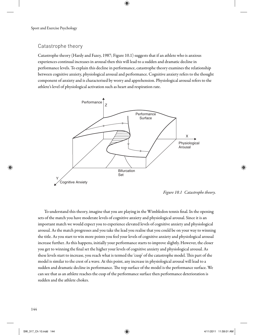## Catastrophe theory

Catastrophe theory (Hardy and Fazey, 1987; Figure 10.1) suggests that if an athlete who is anxious experiences continual increases in arousal then this will lead to a sudden and dramatic decline in performance levels. To explain this decline in performance, catastrophe theory examines the relationship between cognitive anxiety, physiological arousal and performance. Cognitive anxiety refers to the thought component of anxiety and is characterised by worry and apprehension. Physiological arousal refers to the athlete's level of physiological activation such as heart and respiration rate.

 $\bigoplus$ 



*Figure 10.1 Catastrophe theory.*

To understand this theory, imagine that you are playing in the Wimbledon tennis final. In the opening sets of the match you have moderate levels of cognitive anxiety and physiological arousal. Since it is an important match we would expect you to experience elevated levels of cognitive anxiety and physiological arousal. As the match progresses and you take the lead you realise that you could be on your way to winning the title. As you start to win more points you feel your levels of cognitive anxiety and physiological arousal increase further. As this happens, initially your performance starts to improve slightly. However, the closer you get to winning the final set the higher your levels of cognitive anxiety and physiological arousal. As these levels start to increase, you reach what is termed the 'cusp' of the catastrophe model. This part of the model is similar to the crest of a wave. At this point, any increase in physiological arousal will lead to a sudden and dramatic decline in performance. The top surface of the model is the performance surface. We can see that as an athlete reaches the cusp of the performance surface then performance deterioration is sudden and the athlete chokes.

◈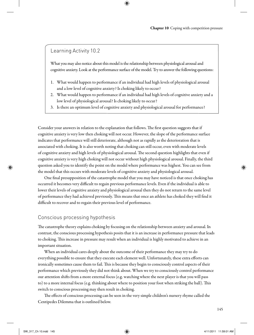## Learning Activity 10.2

What you may also notice about this model is the relationship between physiological arousal and cognitive anxiety. Look at the performance surface of the model. Try to answer the following questions:

⊕

- 1. What would happen to performance if an individual had high levels of physiological arousal and a low level of cognitive anxiety? Is choking likely to occur?
- 2. What would happen to performance if an individual had high levels of cognitive anxiety and a low level of physiological arousal? Is choking likely to occur?
- 3. Is there an optimum level of cognitive anxiety and physiological arousal for performance?

Consider your answers in relation to the explanation that follows. The first question suggests that if cognitive anxiety is very low then choking will not occur. However, the slope of the performance surface indicates that performance will still deteriorate, although not as rapidly as the deterioration that is associated with choking. It is also worth noting that choking can still occur, even with moderate levels of cognitive anxiety and high levels of physiological arousal. The second question highlights that even if cognitive anxiety is very high choking will not occur without high physiological arousal. Finally, the third question asked you to identify the point on the model where performance was highest. You can see from the model that this occurs with moderate levels of cognitive anxiety and physiological arousal.

One final presupposition of the catastrophe model that you may have noticed is that once choking has occurred it becomes very difficult to regain previous performance levels. Even if the individual is able to lower their levels of cognitive anxiety and physiological arousal then they do not return to the same level of performance they had achieved previously. This means that once an athlete has choked they will find it difficult to recover and to regain their previous level of performance.

## Conscious processing hypothesis

The catastrophe theory explains choking by focusing on the relationship between anxiety and arousal. In contrast, the conscious processing hypothesis posits that it is an increase in performance pressure that leads to choking. This increase in pressure may result when an individual is highly motivated to achieve in an important situation.

When an individual cares deeply about the outcome of their performance they may try to do everything possible to ensure that they execute each element well. Unfortunately, these extra efforts can ironically sometimes cause them to fail. This is because they begin to consciously control aspects of their performance which previously they did not think about. When we try to consciously control performance our attention shifts from a more external focus (e.g. watching where the next player is that you will pass to) to a more internal focus (e.g. thinking about where to position your foot when striking the ball). This switch to conscious processing may then result in choking.

The effects of conscious processing can be seen in the very simple children's nursery rhyme called the Centipedes Dilemma that is outlined below.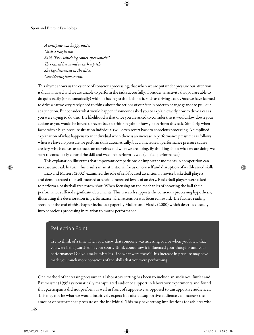*A centipede was happy quite,* Said, 'Pray which leg comes after which?' *This raised her mind to such a pitch, Th is raised her mind to such a pitch, She lay distracted in the ditch Considering how to run.*

This rhyme shows us the essence of conscious processing, that when we are put under pressure our attention is drawn inward and we are unable to perform the task successfully. Consider an activity that you are able to do quite easily (or automatically) without having to think about it, such as driving a car. Once we have learned to drive a car we very rarely need to think about the actions of our feet in order to change gear or to pull out at a junction. But consider what would happen if someone asked you to explain exactly how to drive a car as you were trying to do this. The likelihood is that once you are asked to consider this it would slow down your actions as you would be forced to revert back to thinking about how you perform this task. Similarly, when faced with a high pressure situation individuals will often revert back to conscious processing. A simplified explanation of what happens to an individual when there is an increase in performance pressure is as follows: when we have no pressure we perform skills automatically, but an increase in performance pressure causes anxiety, which causes us to focus on ourselves and what we are doing. By thinking about what we are doing we start to consciously control the skill and we don't perform as well (choked performance).

⊕

This explanation illustrates that important competitions or important moments in competition can increase arousal. In turn, this results in an attentional focus on oneself and disruption of well-learned skills.

Liao and Masters (2002) examined the role of self-focused attention in novice basketball players and demonstrated that self-focused attention increased levels of anxiety. Basketball players were asked to perform a basketball free throw shot. When focusing on the mechanics of shooting the ball their performance suffered significant decrements. This research supports the conscious processing hypothesis, illustrating the deterioration in performance when attention was focused inward. The further reading section at the end of this chapter includes a paper by Mullen and Hardy (2000) which describes a study into conscious processing in relation to motor performance.

## Reflection Point

Try to think of a time when you knew that someone was assessing you or when you knew that you were being watched in your sport. Think about how it influenced your thoughts and your performance: Did you make mistakes, if so what were these? This increase in pressure may have made you much more conscious of the skills that you were performing.

One method of increasing pressure in a laboratory setting has been to include an audience. Butler and Baumeister (1995) systematically manipulated audience support in laboratory experiments and found that participants did not perform as well in front of supportive as opposed to unsupportive audiences. This may not be what we would intuitively expect but often a supportive audience can increase the amount of performance pressure on the individual. This may have strong implications for athletes who

146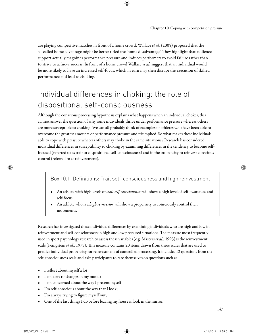are playing competitive matches in front of a home crowd. Wallace *et al.* (2005) proposed that the so-called home advantage might be better titled the 'home disadvantage'. They highlight that audience support actually magnifies performance pressure and induces performers to avoid failure rather than to strive to achieve success. In front of a home crowd Wallace *et al.* suggest that an individual would be more likely to have an increased self-focus, which in turn may then disrupt the execution of skilled performance and lead to choking.

⊕

## Individual differences in choking: the role of dispositional self-consciousness

Although the conscious processing hypothesis explains what happens when an individual chokes, this cannot answer the question of why some individuals thrive under performance pressure whereas others are more susceptible to choking. We can all probably think of examples of athletes who have been able to overcome the greatest amounts of performance pressure and triumphed. So what makes these individuals able to cope with pressure whereas others may choke in the same situations? Research has considered individual differences in susceptibility to choking by examining differences in the tendency to become selffocused (referred to as trait or dispositional self-consciousness) and in the propensity to reinvest conscious control (referred to as reinvestment).

Box 10.1 Definitions: Trait self-consciousness and high reinvestment

- An athlete with high levels of *trait self-consciousness* will show a high level of self-awareness and self-focus.
- An athlete who is a *high reinvestor* will show a propensity to consciously control their movements.

Research has investigated these individual differences by examining individuals who are high and low in reinvestment and self-consciousness in high and low pressured situations. The measure most frequently used in sport psychology research to assess these variables (e.g. Masters *et al.*, 1993) is the reinvestment scale (Fenigstein *et al.*, 1975). This measure contains 20 items drawn from three scales that are used to predict individual propensity for reinvestment of controlled processing. It includes 12 questions from the self-consciousness scale and asks participants to rate themselves on questions such as:

- I reflect about myself a lot;
- I am alert to changes in my mood;
- I am concerned about the way I present myself;
- I'm self-conscious about the way that I look;
- I'm always trying to figure myself out;
- One of the last things I do before leaving my house is look in the mirror.

⊕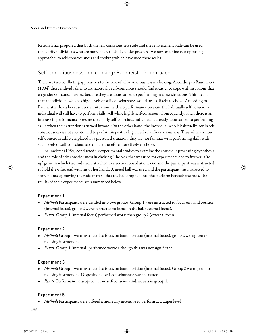Research has proposed that both the self-consciousness scale and the reinvestment scale can be used to identify individuals who are more likely to choke under pressure. We now examine two opposing approaches to self-consciousness and choking which have used these scales.

⊕

## Self-consciousness and choking: Baumeister's approach

There are two conflicting approaches to the role of self-consciousness in choking. According to Baumeister (1984) those individuals who are habitually self-conscious should find it easier to cope with situations that engender self-consciousness because they are accustomed to performing in these situations. This means that an individual who has high levels of self-consciousness would be less likely to choke. According to Baumeister this is because even in situations with no performance pressure the habitually self-conscious individual will still have to perform skills well while highly self-conscious. Consequently, when there is an increase in performance pressure the highly self-conscious individual is already accustomed to performing skills when their attention is turned inward. On the other hand, the individual who is habitually low in selfconsciousness is not accustomed to performing with a high level of self-consciousness. Thus when the low self-conscious athlete is placed in a pressured situation, they are not familiar with performing skills with such levels of self-consciousness and are therefore more likely to choke.

Baumeister (1984) conducted six experimental studies to examine the conscious processing hypothesis and the role of self-consciousness in choking. The task that was used for experiments one to five was a 'roll up' game in which two rods were attached to a vertical board at one end and the participant was instructed to hold the other end with his or her hands. A metal ball was used and the participant was instructed to score points by moving the rods apart so that the ball dropped into the platform beneath the rods. The results of these experiments are summarised below.

#### Experiment 1

◈

- *Method*: Participants were divided into two groups. Group 1 were instructed to focus on hand position (internal focus), group 2 were instructed to focus on the ball (external focus).
- *Result*: Group 1 (internal focus) performed worse than group 2 (external focus).

#### Experiment 2

- *Method*: Group 1 were instructed to focus on hand position (internal focus), group 2 were given no focusing instructions.
- *Result*: Group 1 (internal) performed worse although this was not significant.

#### Experiment 3

- *Method*: Group 1 were instructed to focus on hand position (internal focus). Group 2 were given no focusing instructions. Dispositional self-consciousness was measured.
- *Result*: Performance disrupted in low self-conscious individuals in group 1.

#### Experiment 5

*Method*: Participants were offered a monetary incentive to perform at a target level.

148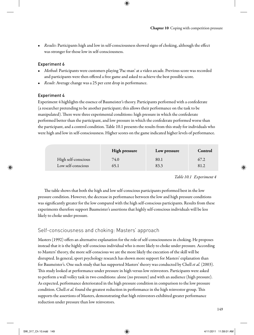• *Results*: Participants high and low in self-consciousness showed signs of choking, although the effect was stronger for those low in self-consciousness.

⊕

#### Experiment 6

- *Method*: Participants were customers playing 'Pac-man' at a video arcade. Previous score was recorded and participants were then offered a free game and asked to achieve the best possible score.
- *Result*: Average change was a 25 per cent drop in performance.

#### Experiment 4

Experiment 4 highlights the essence of Baumeister's theory. Participants performed with a confederate (a researcher pretending to be another participant; this allows their performance on the task to be manipulated). There were three experimental conditions: high pressure in which the confederate performed better than the participant, and low pressure in which the confederate performed worse than the participant, and a control condition. Table 10.1 presents the results from this study for individuals who were high and low in self-consciousness. Higher scores on the game indicated higher levels of performance.

|                     | High pressure | Low pressure | Control |
|---------------------|---------------|--------------|---------|
| High self-conscious | 74.0          | 80.1         | 67.2    |
| Low self-conscious  | 65.1          | 83.3         | 81.2    |

 $\overline{I}$ 

The table shows that both the high and low self-conscious participants performed best in the low pressure condition. However, the decrease in performance between the low and high pressure conditions was signifi cantly greater for the low compared with the high self-conscious participants. Results from these experiments therefore support Baumeister's assertions that highly self-conscious individuals will be less likely to choke under pressure.

### Self-consciousness and choking: Masters' approach

Masters (1992) offers an alternative explanation for the role of self-consciousness in choking. He proposes instead that it is the highly self-conscious individual who is more likely to choke under pressure. According to Masters' theory, the more self-conscious we are the more likely the execution of the skill will be disrupted. In general, sport psychology research has shown more support for Masters' explanation than for Baumeister's. One such study that has supported Masters' theory was conducted by Chell *et al.* (2003). This study looked at performance under pressure in high versus low reinvestors. Participants were asked to perform a wall volley task in two conditions: alone (no pressure) and with an audience (high pressure). As expected, performance deteriorated in the high pressure condition in comparison to the low pressure condition. Chell *et al.* found the greatest reduction in performance in the high reinvestor group. This supports the assertions of Masters, demonstrating that high reinvestors exhibited greater performance reduction under pressure than low reinvestors.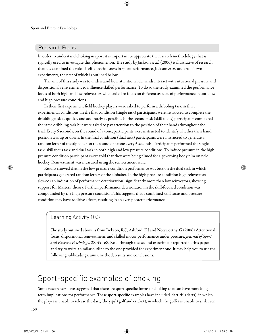## Research Focus

In order to understand choking in sport it is important to appreciate the research methodology that is typically used to investigate this phenomenon. The study by Jackson *et al.* (2006) is illustrative of research that has examined the role of self-consciousness in sport performance. Jackson *et al.* undertook two experiments, the first of which is outlined below.

⊕

The aim of this study was to understand how attentional demands interact with situational pressure and dispositional reinvestment to influence skilled performance. To do so the study examined the performance levels of both high and low reinvestors when asked to focus on different aspects of performance in both low and high pressure conditions.

In their first experiment field hockey players were asked to perform a dribbling task in three experimental conditions. In the first condition (single task) participants were instructed to complete the dribbling task as quickly and accurately as possible. In the second task (skill focus) participants completed the same dribbling task but were asked to pay attention to the position of their hands throughout the trial. Every 6 seconds, on the sound of a tone, participants were instructed to identify whether their hand position was up or down. In the final condition (dual task) participants were instructed to generate a random letter of the alphabet on the sound of a tone every 6 seconds. Participants performed the single task, skill focus task and dual task in both high and low pressure conditions. To induce pressure in the high pressure condition participants were told that they were being filmed for a governing body film on field hockey. Reinvestment was measured using the reinvestment scale.

Results showed that in the low pressure condition performance was best on the dual task in which participants generated random letters of the alphabet. In the high pressure condition high reinvestors slowed (an indication of performance deterioration) significantly more than low reinvestors, showing support for Masters' theory. Further, performance deterioration in the skill-focused condition was compounded by the high pressure condition. This suggests that a combined skill focus and pressure condition may have additive effects, resulting in an even poorer performance.

## Learning Activity 10.3

The study outlined above is from Jackson, RC, Ashford, KJ and Norsworthy, G (2006) Attentional focus, dispositional reinvestment, and skilled motor performance under pressure. *Journal of Sport and Exercise Psychology*, 28, 49–68. Read through the second experiment reported in this paper and try to write a similar outline to the one provided for experiment one. It may help you to use the following subheadings: aims, method, results and conclusions.

## Sport-specific examples of choking

Some researchers have suggested that there are sport-specific forms of choking that can have more longterm implications for performance. These sport-specific examples have included 'dartitis' (darts), in which the player is unable to release the dart, 'the yips' (golf and cricket), in which the golfer is unable to sink even

150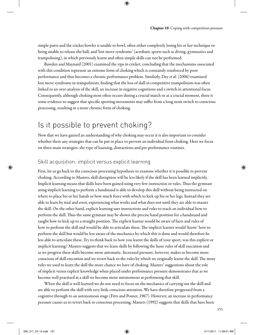simple putts and the cricket bowler is unable to bowl, often either completely losing his or her technique or being unable to release the ball, and 'lost move syndrome' (acrobatic sports such as diving, gymnastics and trampolining), in which previously learnt and often simple skills can not be performed.

⊕

Bawden and Maynard (2001) examined the yips in cricket, concluding that the mechanisms associated with this condition represent an extreme form of choking which is constantly reinforced by poor performance and thus becomes a chronic performance problem. Similarly, Day *et al.* (2006) examined lost move syndrome in trampolinists, finding that the loss of skill in competitive trampolinists was often linked to an over-analysis of the skill, an increase in negative cognitions and a switch in attentional focus. Consequently, although choking most often occurs during a crucial match or at a crucial moment, there is some evidence to suggest that specific sporting movements may suffer from a long-term switch to conscious processing, resulting in a more chronic form of choking.

## Is it possible to prevent choking?

Now that we have gained an understanding of why choking may occur it is also important to consider whether there any strategies that can be put in place to prevent an individual from choking. Here we focus on three main strategies: the type of learning, distractions and pre-performance routines.

## Skill acquisition: implicit versus explicit learning

First, let us go back to the conscious processing hypothesis to examine whether it is possible to prevent choking. According to Masters, skill disruption will be less likely if the skill has been learned implicitly. Implicit learning means that skills have been gained using very few instruction or rules. Thus the gymnast using implicit learning to perform a handstand is able to develop this skill without being instructed on where to place his or her hands or how much force with which to kick up his or her legs. Instead they are able to learn by trial and error, experiencing what works and what does not until they are able to master the skill. On the other hand, explicit learning uses instructions and rules to teach an individual how to perform the skill. Thus the same gymnast may be shown the precise hand position for a handstand and taught how to kick up to a straight position. The explicit learner would be aware of facts and rules of how to perform the skill and would be able to articulate these. The implicit learner would 'know' how to perform the skill but would be less aware of the mechanics by which this is done and would therefore be less able to articulate these. Try to think back to how you learnt the skills of your sport; was this explicit or implicit learning? Masters suggests that we learn skills by following the basic rules of skill execution and as we progress these skills become more automatic. Increased pressure, however, makes us become more conscious of skill execution and we revert back to the rules by which we originally learnt the skill. The more rules we used to learn the skill the more chance we have of choking. Masters' suggestions about the role of implicit versus explicit knowledge when placed under performance pressure demonstrates that as we become well practised at a skill we become more autonomous at performing that skill.

When the skill is well-learned we do not need to focus on the mechanics of carrying out the skill and are able to perform the skill with very little conscious attention. We have therefore progressed from a cognitive through to an autonomous stage (Fitts and Posner, 1967). However, an increase in performance pressure causes us to revert back to conscious processing. Masters (1992) suggests that skills that have been ⊕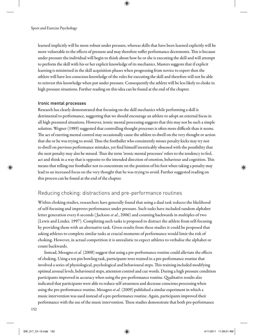learned implicitly will be more robust under pressure, whereas skills that have been learned explicitly will be more vulnerable to the effects of pressure and may therefore suffer performance decrements. This is because under pressure the individual will begin to think about how he or she is executing the skill and will attempt to perform the skill with his or her explicit knowledge of its mechanics. Masters suggests that if explicit learning is minimised in the skill acquisition phases when progressing from novice to expert then the athlete will have less conscious knowledge of the rules for executing the skill and therefore will not be able to reinvest this knowledge when put under pressure. Consequently the athlete will be less likely to choke in high pressure situations. Further reading on this idea can be found at the end of the chapter.

⊕

#### Ironic mental processes

Research has clearly demonstrated that focusing on the skill mechanics while performing a skill is detrimental to performance, suggesting that we should encourage an athlete to adopt an external focus in all high pressured situations. However, ironic mental processing suggests that this may not be such a simple solution. Wegner (1989) suggested that controlling thought processes is often more difficult than it seems. The act of exerting mental control may occasionally cause the athlete to dwell on the very thought or action that she or he was trying to avoid. Thus the footballer who consistently misses penalty kicks may try not to dwell on previous performance mistakes, yet find himself inextricably obsessed with the possibility that the next penalty may also be missed. Thus the term 'ironic mental processes' refers to the tendency to feel, act and think in a way that is opposite to the intended direction of emotion, behaviour and cognition. This means that telling our footballer not to concentrate on the position of his foot when taking a penalty may lead to an increased focus on the very thought that he was trying to avoid. Further suggested reading on this process can be found at the end of the chapter.

### Reducing choking: distractions and pre-performance routines

Within choking studies, researchers have generally found that using a dual task reduces the likelihood of self-focusing and improves performance under pressure. Such tasks have included random alphabet letter generation every 6 seconds ( Jackson *et al.*, 2006) and counting backwards in multiples of two (Lewis and Linder, 1997). Completing such tasks is proposed to distract the athlete from self-focusing by providing them with an alternative task. Given results from these studies it could be proposed that asking athletes to complete similar tasks at crucial moments of performance would limit the risk of choking. However, in actual competition it is unrealistic to expect athletes to verbalise the alphabet or count backwards.

Instead, Mesagno *et al.* (2008) suggest that using a pre-performance routine could alleviate the effects of choking. Using a ten pin bowling task, participants were trained in a pre-performance routine that involved a series of physiological, psychological and behavioural steps. This training included modifying optimal arousal levels, behavioural steps, attention control and cue words. During a high pressure condition participants improved in accuracy when using the pre-performance routine. Qualitative results also indicated that participants were able to reduce self-awareness and decrease conscious processing when using the pre-performance routine. Mesagno *et al.* (2009) published a similar experiment in which a music intervention was used instead of a pre-performance routine. Again, participants improved their performance with the use of the music intervention. These studies demonstrate that both pre-performance

152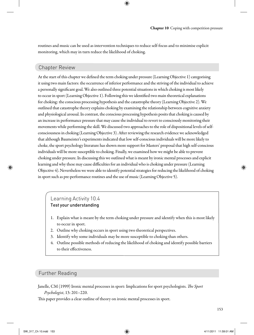routines and music can be used as intervention techniques to reduce self-focus and to minimise explicit monitoring, which may in turn reduce the likelihood of choking.

⊕

### Chapter Review

At the start of this chapter we defined the term choking under pressure (Learning Objective 1) categorising it using two main factors: the occurrence of inferior performance and the striving of the individual to achieve a personally significant goal. We also outlined three potential situations in which choking is most likely to occur in sport (Learning Objective 1). Following this we identified two main theoretical explanations for choking: the conscious processing hypothesis and the catastrophe theory (Learning Objective 2). We outlined that catastrophe theory explains choking by examining the relationship between cognitive anxiety and physiological arousal. In contrast, the conscious processing hypothesis posits that choking is caused by an increase in performance pressure that may cause the individual to revert to consciously monitoring their movements while performing the skill. We discussed two approaches to the role of dispositional levels of selfconsciousness in choking (Learning Objective 3). After reviewing the research evidence we acknowledged that although Baumeister's experiments indicated that low self-conscious individuals will be more likely to choke, the sport psychology literature has shown more support for Masters' proposal that high self-conscious individuals will be more susceptible to choking. Finally, we examined how we might be able to prevent choking under pressure. In discussing this we outlined what is meant by ironic mental processes and explicit learning and why these may cause difficulties for an individual who is choking under pressure (Learning Objective 4). Nevertheless we were able to identify potential strategies for reducing the likelihood of choking in sport such as pre-performance routines and the use of music (Learning Objective 5).

## Learning Activity 10.4 Test your understanding

- 1. Explain what is meant by the term choking under pressure and identify when this is most likely to occur in sport.
- 2. Outline why choking occurs in sport using two theoretical perspectives.
- 3. Identify why some individuals may be more susceptible to choking than others.
- 4. Outline possible methods of reducing the likelihood of choking and identify possible barriers to their effectiveness.

## Further Reading

Janelle, CM (1999) Ironic mental processes in sport: Implications for sport psychologists. *The Sport Psychologist*, 13: 201–220.

This paper provides a clear outline of theory on ironic mental processes in sport.